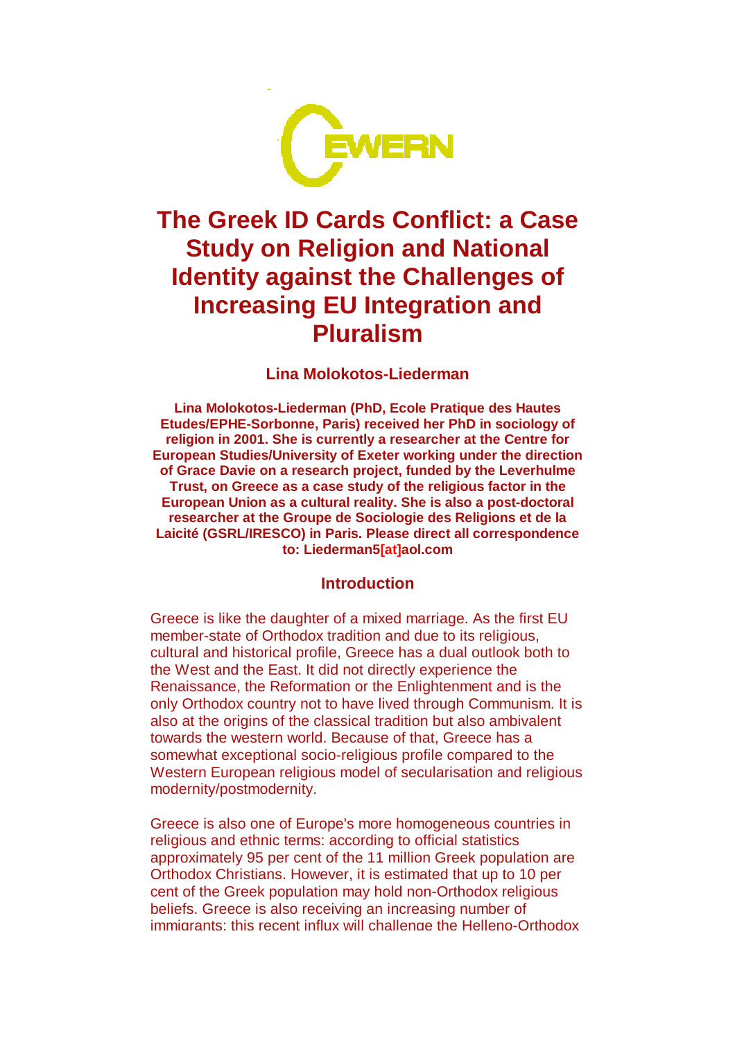

# **The Greek ID Cards Conflict: a Case Study on Religion and National Identity against the Challenges of Increasing EU Integration and Pluralism**

#### **Lina Molokotos-Liederman**

**Lina Molokotos-Liederman (PhD, Ecole Pratique des Hautes Etudes/EPHE-Sorbonne, Paris) received her PhD in sociology of religion in 2001. She is currently a researcher at the Centre for European Studies/University of Exeter working under the direction of Grace Davie on a research project, funded by the Leverhulme Trust, on Greece as a case study of the religious factor in the European Union as a cultural reality. She is also a post-doctoral researcher at the Groupe de Sociologie des Religions et de la Laicité (GSRL/IRESCO) in Paris. Please direct all correspondence to: Liederman5[at]aol.com** 

#### **Introduction**

Greece is like the daughter of a mixed marriage. As the first EU member-state of Orthodox tradition and due to its religious, cultural and historical profile, Greece has a dual outlook both to the West and the East. It did not directly experience the Renaissance, the Reformation or the Enlightenment and is the only Orthodox country not to have lived through Communism. It is also at the origins of the classical tradition but also ambivalent towards the western world. Because of that, Greece has a somewhat exceptional socio-religious profile compared to the Western European religious model of secularisation and religious modernity/postmodernity.

Greece is also one of Europe's more homogeneous countries in religious and ethnic terms: according to official statistics approximately 95 per cent of the 11 million Greek population are Orthodox Christians. However, it is estimated that up to 10 per cent of the Greek population may hold non-Orthodox religious beliefs. Greece is also receiving an increasing number of immigrants; this recent influx will challenge the Helleno-Orthodox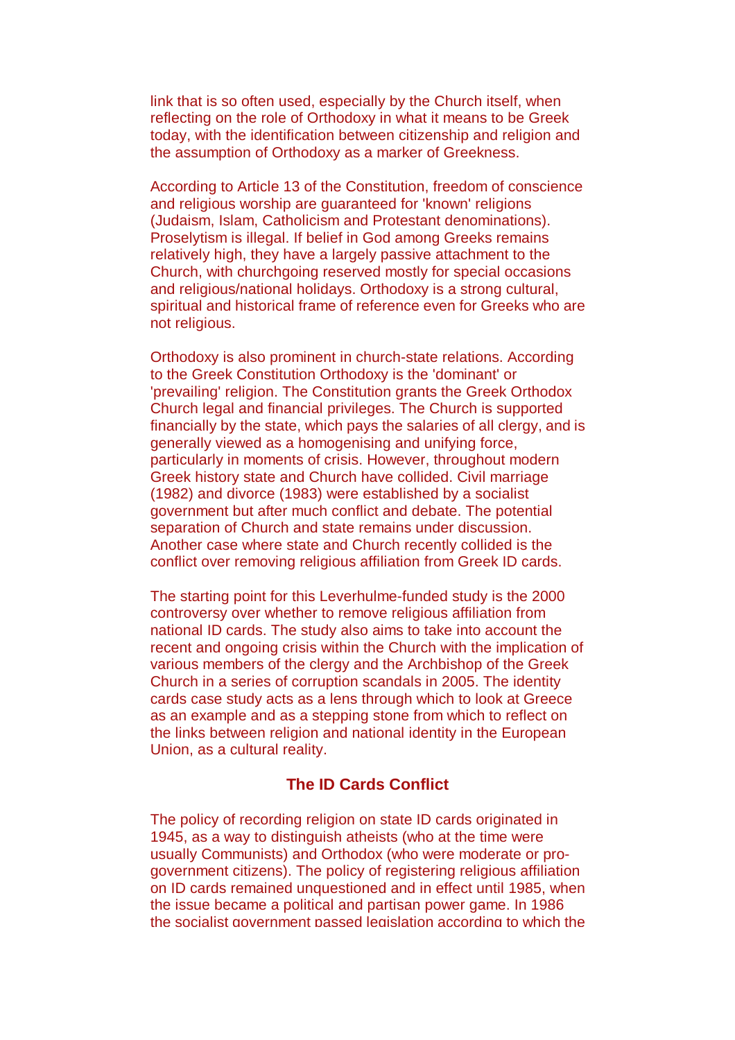link that is so often used, especially by the Church itself, when reflecting on the role of Orthodoxy in what it means to be Greek today, with the identification between citizenship and religion and the assumption of Orthodoxy as a marker of Greekness.

According to Article 13 of the Constitution, freedom of conscience and religious worship are guaranteed for 'known' religions (Judaism, Islam, Catholicism and Protestant denominations). Proselytism is illegal. If belief in God among Greeks remains relatively high, they have a largely passive attachment to the Church, with churchgoing reserved mostly for special occasions and religious/national holidays. Orthodoxy is a strong cultural, spiritual and historical frame of reference even for Greeks who are not religious.

Orthodoxy is also prominent in church-state relations. According to the Greek Constitution Orthodoxy is the 'dominant' or 'prevailing' religion. The Constitution grants the Greek Orthodox Church legal and financial privileges. The Church is supported financially by the state, which pays the salaries of all clergy, and is generally viewed as a homogenising and unifying force, particularly in moments of crisis. However, throughout modern Greek history state and Church have collided. Civil marriage (1982) and divorce (1983) were established by a socialist government but after much conflict and debate. The potential separation of Church and state remains under discussion. Another case where state and Church recently collided is the conflict over removing religious affiliation from Greek ID cards.

The starting point for this Leverhulme-funded study is the 2000 controversy over whether to remove religious affiliation from national ID cards. The study also aims to take into account the recent and ongoing crisis within the Church with the implication of various members of the clergy and the Archbishop of the Greek Church in a series of corruption scandals in 2005. The identity cards case study acts as a lens through which to look at Greece as an example and as a stepping stone from which to reflect on the links between religion and national identity in the European Union, as a cultural reality.

#### **The ID Cards Conflict**

The policy of recording religion on state ID cards originated in 1945, as a way to distinguish atheists (who at the time were usually Communists) and Orthodox (who were moderate or progovernment citizens). The policy of registering religious affiliation on ID cards remained unquestioned and in effect until 1985, when the issue became a political and partisan power game. In 1986 the socialist government passed legislation according to which the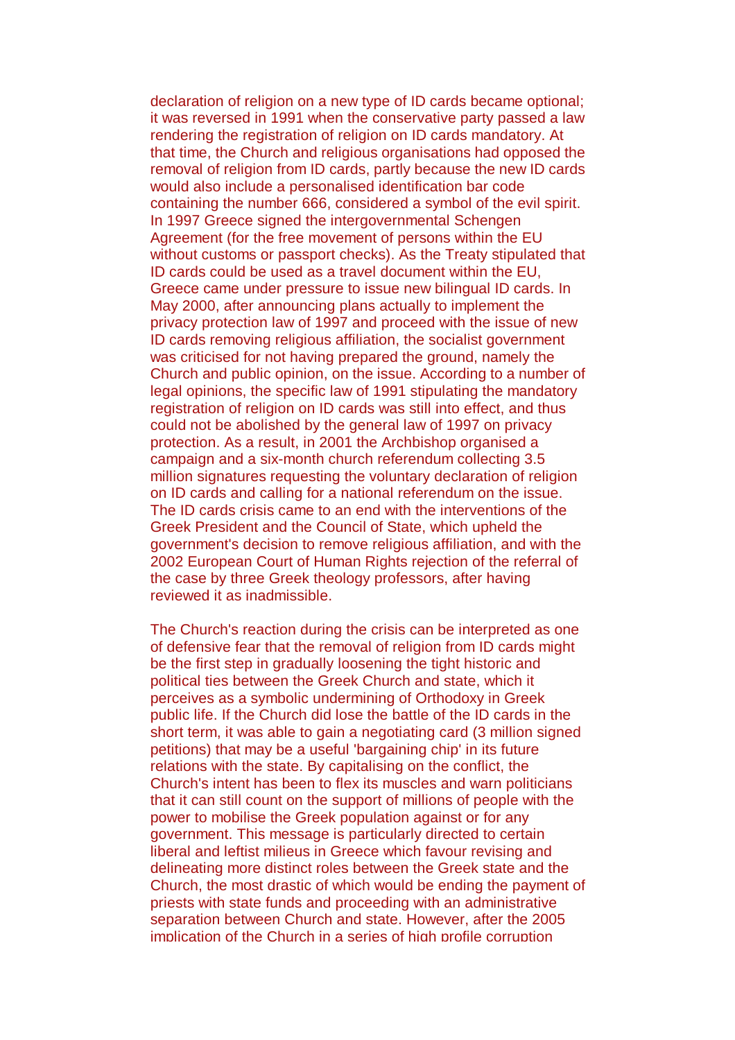declaration of religion on a new type of ID cards became optional; it was reversed in 1991 when the conservative party passed a law rendering the registration of religion on ID cards mandatory. At that time, the Church and religious organisations had opposed the removal of religion from ID cards, partly because the new ID cards would also include a personalised identification bar code containing the number 666, considered a symbol of the evil spirit. In 1997 Greece signed the intergovernmental Schengen Agreement (for the free movement of persons within the EU without customs or passport checks). As the Treaty stipulated that ID cards could be used as a travel document within the EU, Greece came under pressure to issue new bilingual ID cards. In May 2000, after announcing plans actually to implement the privacy protection law of 1997 and proceed with the issue of new ID cards removing religious affiliation, the socialist government was criticised for not having prepared the ground, namely the Church and public opinion, on the issue. According to a number of legal opinions, the specific law of 1991 stipulating the mandatory registration of religion on ID cards was still into effect, and thus could not be abolished by the general law of 1997 on privacy protection. As a result, in 2001 the Archbishop organised a campaign and a six-month church referendum collecting 3.5 million signatures requesting the voluntary declaration of religion on ID cards and calling for a national referendum on the issue. The ID cards crisis came to an end with the interventions of the Greek President and the Council of State, which upheld the government's decision to remove religious affiliation, and with the 2002 European Court of Human Rights rejection of the referral of the case by three Greek theology professors, after having reviewed it as inadmissible.

The Church's reaction during the crisis can be interpreted as one of defensive fear that the removal of religion from ID cards might be the first step in gradually loosening the tight historic and political ties between the Greek Church and state, which it perceives as a symbolic undermining of Orthodoxy in Greek public life. If the Church did lose the battle of the ID cards in the short term, it was able to gain a negotiating card (3 million signed petitions) that may be a useful 'bargaining chip' in its future relations with the state. By capitalising on the conflict, the Church's intent has been to flex its muscles and warn politicians that it can still count on the support of millions of people with the power to mobilise the Greek population against or for any government. This message is particularly directed to certain liberal and leftist milieus in Greece which favour revising and delineating more distinct roles between the Greek state and the Church, the most drastic of which would be ending the payment of priests with state funds and proceeding with an administrative separation between Church and state. However, after the 2005 implication of the Church in a series of high profile corruption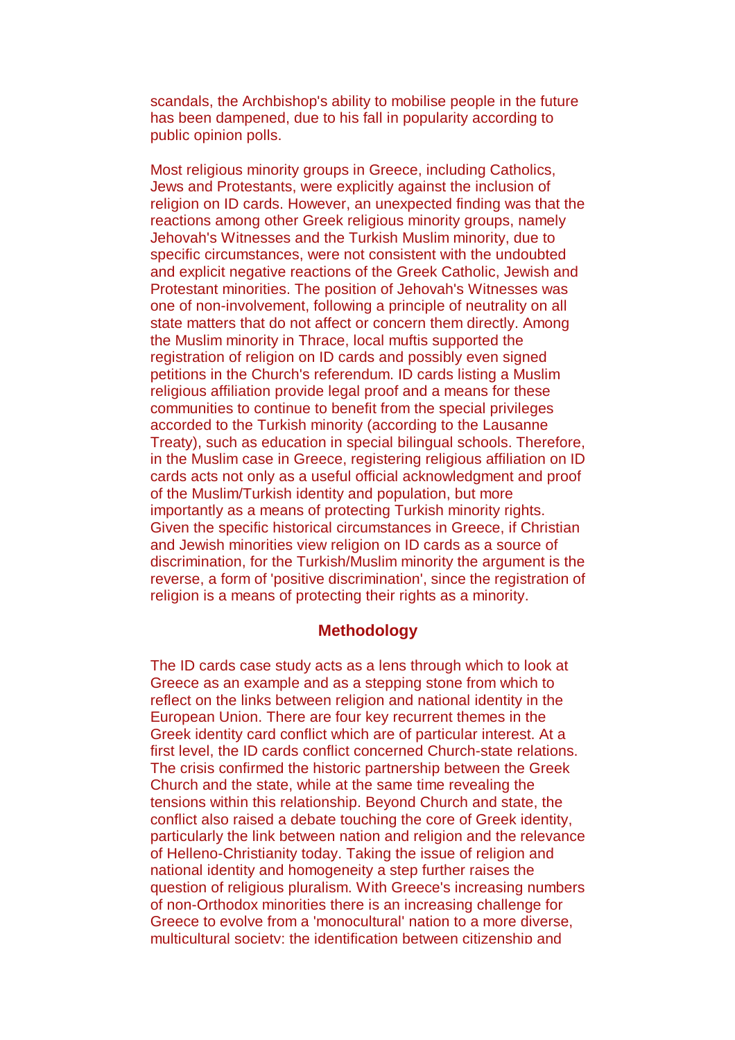scandals, the Archbishop's ability to mobilise people in the future has been dampened, due to his fall in popularity according to public opinion polls.

Most religious minority groups in Greece, including Catholics, Jews and Protestants, were explicitly against the inclusion of religion on ID cards. However, an unexpected finding was that the reactions among other Greek religious minority groups, namely Jehovah's Witnesses and the Turkish Muslim minority, due to specific circumstances, were not consistent with the undoubted and explicit negative reactions of the Greek Catholic, Jewish and Protestant minorities. The position of Jehovah's Witnesses was one of non-involvement, following a principle of neutrality on all state matters that do not affect or concern them directly. Among the Muslim minority in Thrace, local muftis supported the registration of religion on ID cards and possibly even signed petitions in the Church's referendum. ID cards listing a Muslim religious affiliation provide legal proof and a means for these communities to continue to benefit from the special privileges accorded to the Turkish minority (according to the Lausanne Treaty), such as education in special bilingual schools. Therefore, in the Muslim case in Greece, registering religious affiliation on ID cards acts not only as a useful official acknowledgment and proof of the Muslim/Turkish identity and population, but more importantly as a means of protecting Turkish minority rights. Given the specific historical circumstances in Greece, if Christian and Jewish minorities view religion on ID cards as a source of discrimination, for the Turkish/Muslim minority the argument is the reverse, a form of 'positive discrimination', since the registration of religion is a means of protecting their rights as a minority.

#### **Methodology**

The ID cards case study acts as a lens through which to look at Greece as an example and as a stepping stone from which to reflect on the links between religion and national identity in the European Union. There are four key recurrent themes in the Greek identity card conflict which are of particular interest. At a first level, the ID cards conflict concerned Church-state relations. The crisis confirmed the historic partnership between the Greek Church and the state, while at the same time revealing the tensions within this relationship. Beyond Church and state, the conflict also raised a debate touching the core of Greek identity, particularly the link between nation and religion and the relevance of Helleno-Christianity today. Taking the issue of religion and national identity and homogeneity a step further raises the question of religious pluralism. With Greece's increasing numbers of non-Orthodox minorities there is an increasing challenge for Greece to evolve from a 'monocultural' nation to a more diverse, multicultural society; the identification between citizenship and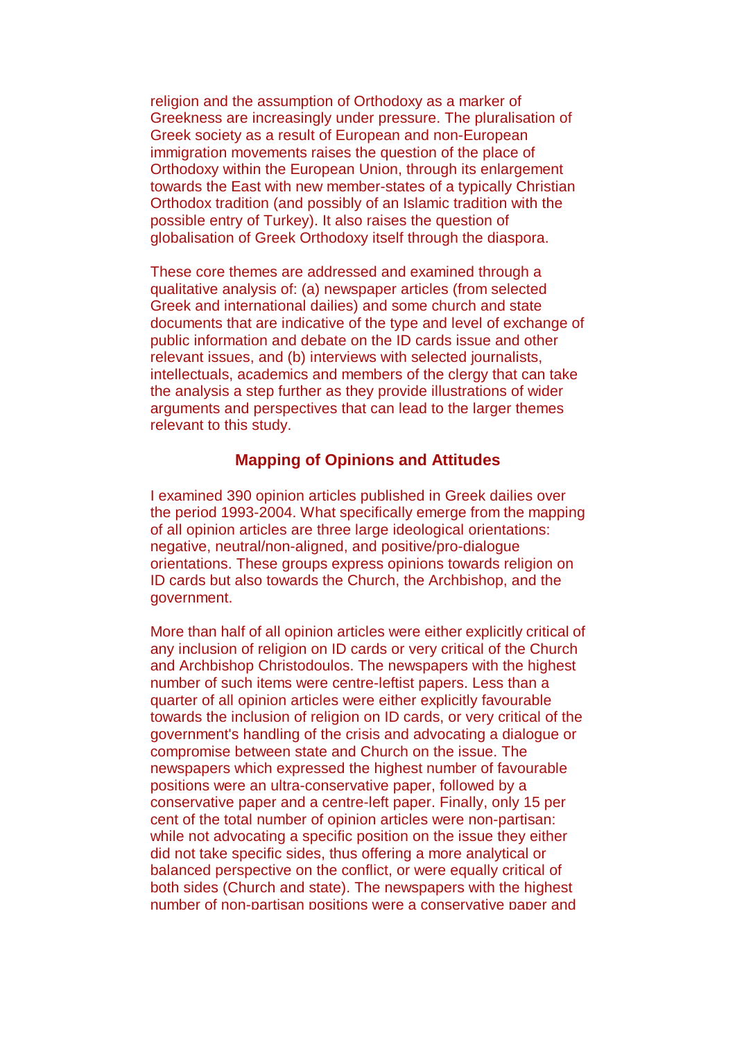religion and the assumption of Orthodoxy as a marker of Greekness are increasingly under pressure. The pluralisation of Greek society as a result of European and non-European immigration movements raises the question of the place of Orthodoxy within the European Union, through its enlargement towards the East with new member-states of a typically Christian Orthodox tradition (and possibly of an Islamic tradition with the possible entry of Turkey). It also raises the question of globalisation of Greek Orthodoxy itself through the diaspora.

These core themes are addressed and examined through a qualitative analysis of: (a) newspaper articles (from selected Greek and international dailies) and some church and state documents that are indicative of the type and level of exchange of public information and debate on the ID cards issue and other relevant issues, and (b) interviews with selected journalists, intellectuals, academics and members of the clergy that can take the analysis a step further as they provide illustrations of wider arguments and perspectives that can lead to the larger themes relevant to this study.

## **Mapping of Opinions and Attitudes**

I examined 390 opinion articles published in Greek dailies over the period 1993-2004. What specifically emerge from the mapping of all opinion articles are three large ideological orientations: negative, neutral/non-aligned, and positive/pro-dialogue orientations. These groups express opinions towards religion on ID cards but also towards the Church, the Archbishop, and the government.

More than half of all opinion articles were either explicitly critical of any inclusion of religion on ID cards or very critical of the Church and Archbishop Christodoulos. The newspapers with the highest number of such items were centre-leftist papers. Less than a quarter of all opinion articles were either explicitly favourable towards the inclusion of religion on ID cards, or very critical of the government's handling of the crisis and advocating a dialogue or compromise between state and Church on the issue. The newspapers which expressed the highest number of favourable positions were an ultra-conservative paper, followed by a conservative paper and a centre-left paper. Finally, only 15 per cent of the total number of opinion articles were non-partisan: while not advocating a specific position on the issue they either did not take specific sides, thus offering a more analytical or balanced perspective on the conflict, or were equally critical of both sides (Church and state). The newspapers with the highest number of non-partisan positions were a conservative paper and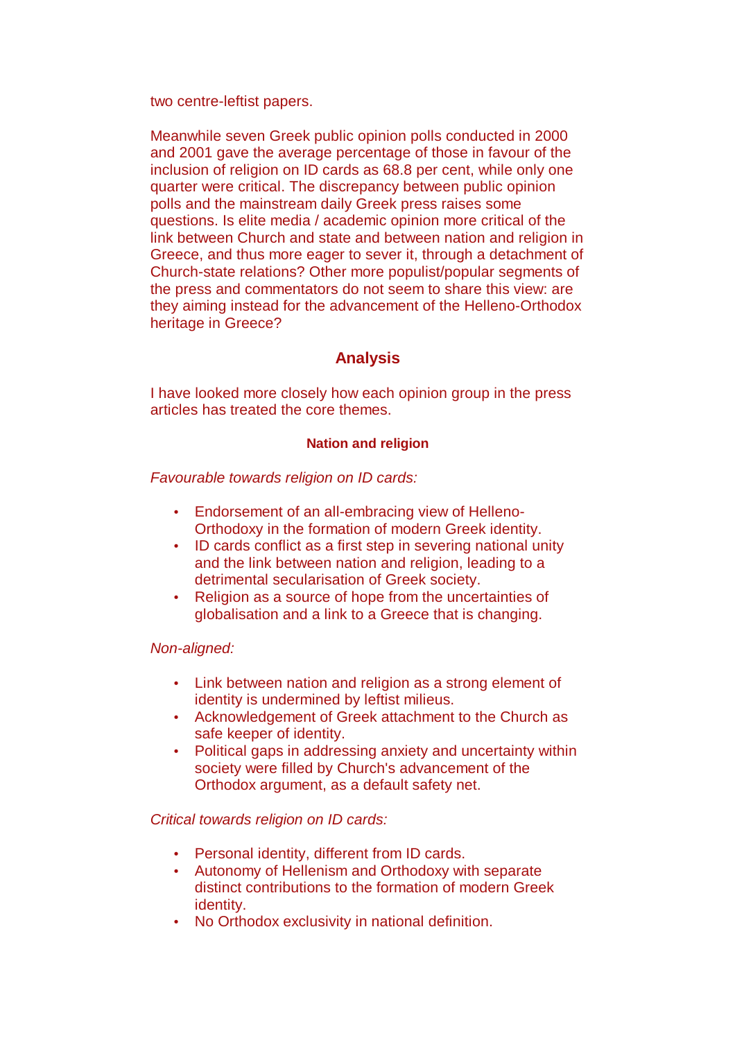two centre-leftist papers.

Meanwhile seven Greek public opinion polls conducted in 2000 and 2001 gave the average percentage of those in favour of the inclusion of religion on ID cards as 68.8 per cent, while only one quarter were critical. The discrepancy between public opinion polls and the mainstream daily Greek press raises some questions. Is elite media / academic opinion more critical of the link between Church and state and between nation and religion in Greece, and thus more eager to sever it, through a detachment of Church-state relations? Other more populist/popular segments of the press and commentators do not seem to share this view: are they aiming instead for the advancement of the Helleno-Orthodox heritage in Greece?

## **Analysis**

I have looked more closely how each opinion group in the press articles has treated the core themes.

#### **Nation and religion**

Favourable towards religion on ID cards:

- Endorsement of an all-embracing view of Helleno-Orthodoxy in the formation of modern Greek identity.
- ID cards conflict as a first step in severing national unity and the link between nation and religion, leading to a detrimental secularisation of Greek society.
- Religion as a source of hope from the uncertainties of globalisation and a link to a Greece that is changing.

#### Non-aligned:

- Link between nation and religion as a strong element of identity is undermined by leftist milieus.
- Acknowledgement of Greek attachment to the Church as safe keeper of identity.
- Political gaps in addressing anxiety and uncertainty within society were filled by Church's advancement of the Orthodox argument, as a default safety net.

#### Critical towards religion on ID cards:

- Personal identity, different from ID cards.
- Autonomy of Hellenism and Orthodoxy with separate distinct contributions to the formation of modern Greek identity.
- No Orthodox exclusivity in national definition.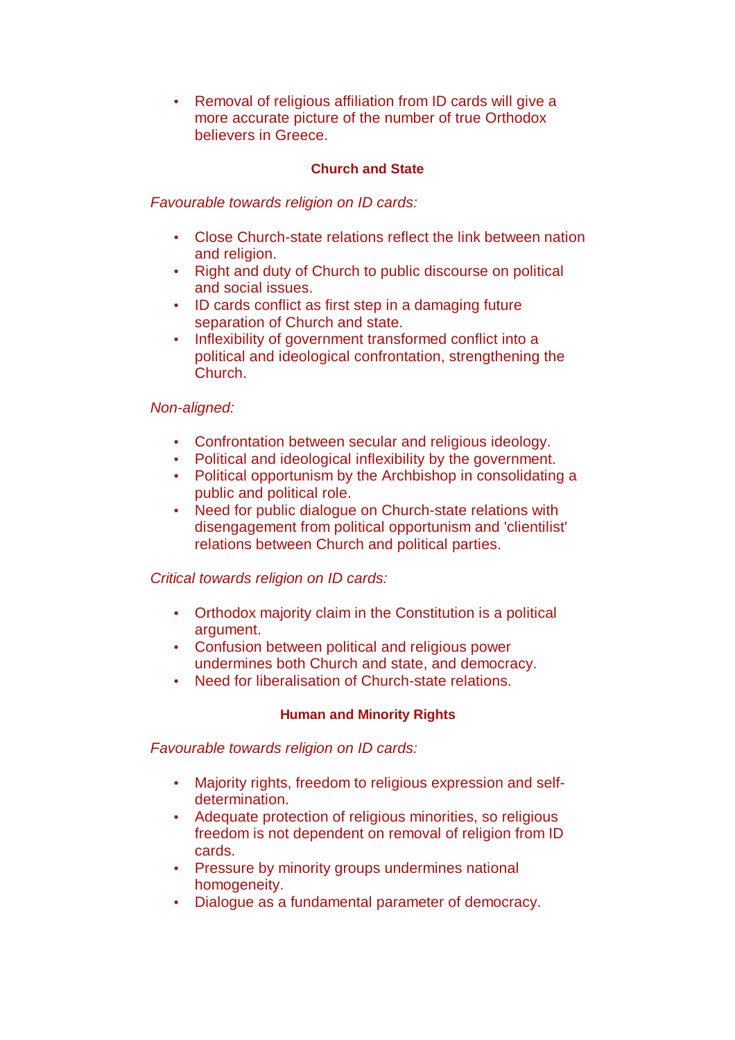• Removal of religious affiliation from ID cards will give a more accurate picture of the number of true Orthodox believers in Greece.

#### **Church and State**

Favourable towards religion on ID cards:

- Close Church-state relations reflect the link between nation and religion.
- Right and duty of Church to public discourse on political and social issues.
- ID cards conflict as first step in a damaging future separation of Church and state.
- Inflexibility of government transformed conflict into a political and ideological confrontation, strengthening the Church.

#### Non-aligned:

- Confrontation between secular and religious ideology.
- Political and ideological inflexibility by the government.
- Political opportunism by the Archbishop in consolidating a public and political role.
- Need for public dialogue on Church-state relations with disengagement from political opportunism and 'clientilist' relations between Church and political parties.

#### Critical towards religion on ID cards:

- Orthodox majority claim in the Constitution is a political argument.
- Confusion between political and religious power undermines both Church and state, and democracy.
- Need for liberalisation of Church-state relations.

#### **Human and Minority Rights**

Favourable towards religion on ID cards:

- Majority rights, freedom to religious expression and selfdetermination.
- Adequate protection of religious minorities, so religious freedom is not dependent on removal of religion from ID cards.
- Pressure by minority groups undermines national homogeneity.
- Dialogue as a fundamental parameter of democracy.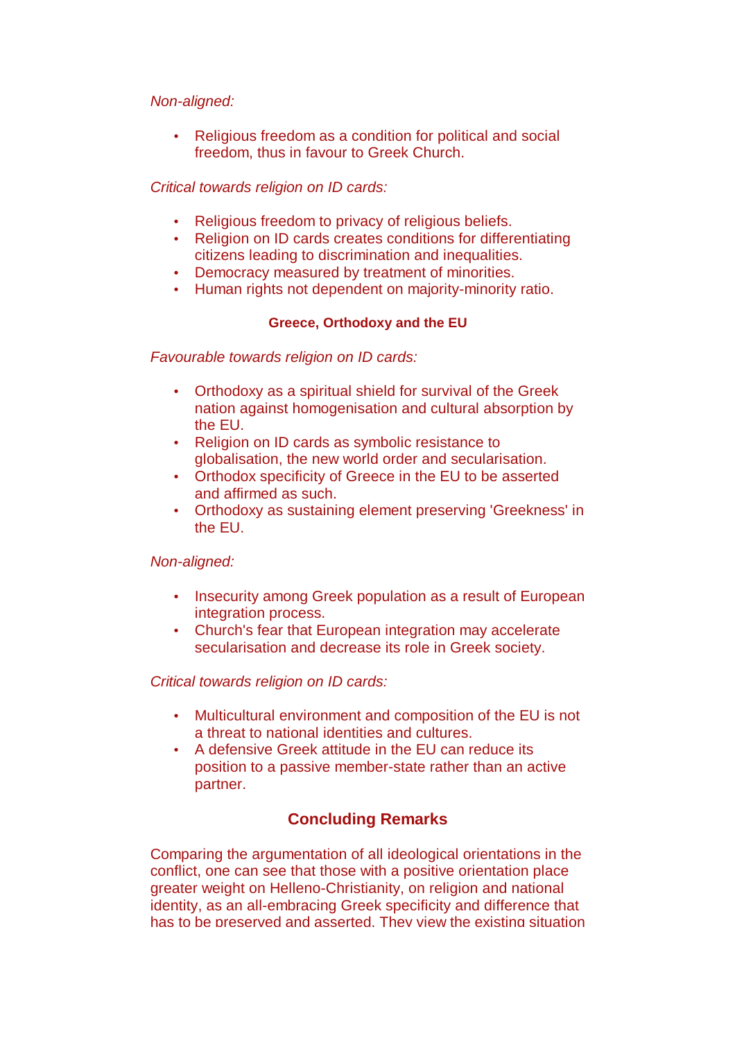#### Non-aligned:

• Religious freedom as a condition for political and social freedom, thus in favour to Greek Church.

## Critical towards religion on ID cards:

- Religious freedom to privacy of religious beliefs.
- Religion on ID cards creates conditions for differentiating citizens leading to discrimination and inequalities.
- Democracy measured by treatment of minorities.
- Human rights not dependent on majority-minority ratio.

## **Greece, Orthodoxy and the EU**

Favourable towards religion on ID cards:

- Orthodoxy as a spiritual shield for survival of the Greek nation against homogenisation and cultural absorption by the EU.
- Religion on ID cards as symbolic resistance to globalisation, the new world order and secularisation.
- Orthodox specificity of Greece in the EU to be asserted and affirmed as such.
- Orthodoxy as sustaining element preserving 'Greekness' in the EU.

## Non-aligned:

- Insecurity among Greek population as a result of European integration process.
- Church's fear that European integration may accelerate secularisation and decrease its role in Greek society.

## Critical towards religion on ID cards:

- Multicultural environment and composition of the EU is not a threat to national identities and cultures.
- A defensive Greek attitude in the EU can reduce its position to a passive member-state rather than an active partner.

## **Concluding Remarks**

Comparing the argumentation of all ideological orientations in the conflict, one can see that those with a positive orientation place greater weight on Helleno-Christianity, on religion and national identity, as an all-embracing Greek specificity and difference that has to be preserved and asserted. They view the existing situation